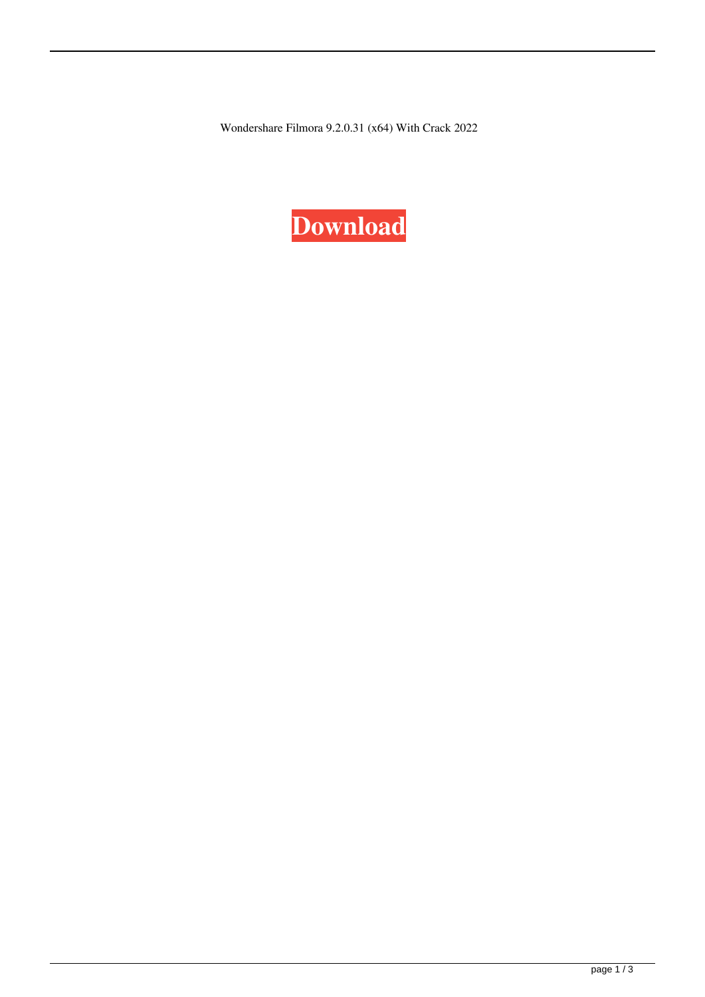Wondershare Filmora 9.2.0.31 (x64) With Crack 2022

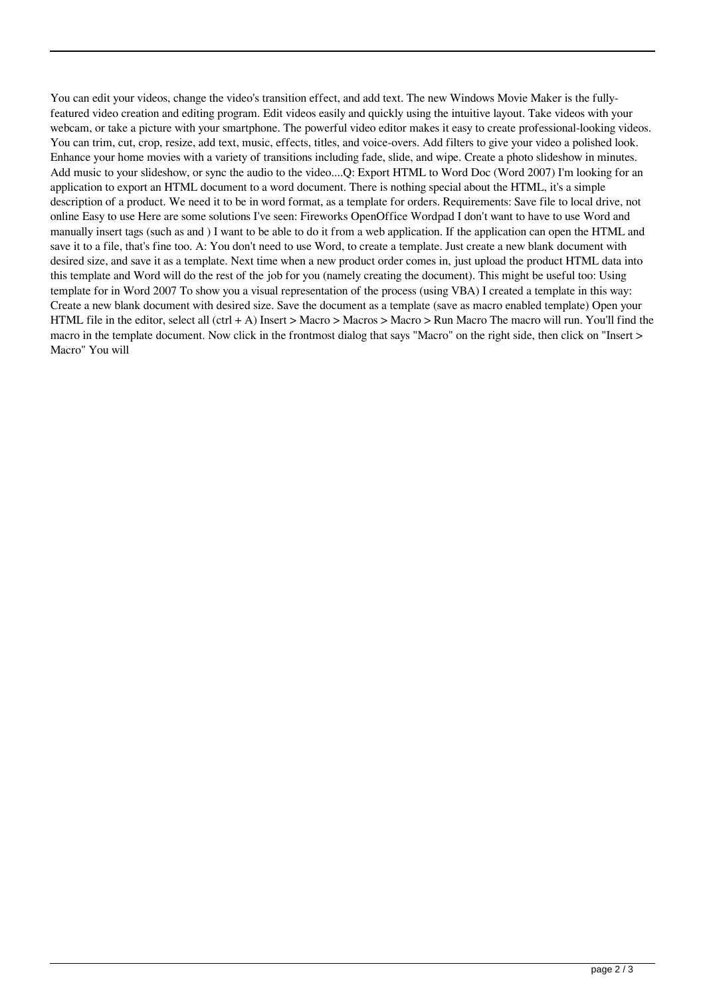You can edit your videos, change the video's transition effect, and add text. The new Windows Movie Maker is the fullyfeatured video creation and editing program. Edit videos easily and quickly using the intuitive layout. Take videos with your webcam, or take a picture with your smartphone. The powerful video editor makes it easy to create professional-looking videos. You can trim, cut, crop, resize, add text, music, effects, titles, and voice-overs. Add filters to give your video a polished look. Enhance your home movies with a variety of transitions including fade, slide, and wipe. Create a photo slideshow in minutes. Add music to your slideshow, or sync the audio to the video....Q: Export HTML to Word Doc (Word 2007) I'm looking for an application to export an HTML document to a word document. There is nothing special about the HTML, it's a simple description of a product. We need it to be in word format, as a template for orders. Requirements: Save file to local drive, not online Easy to use Here are some solutions I've seen: Fireworks OpenOffice Wordpad I don't want to have to use Word and manually insert tags (such as and ) I want to be able to do it from a web application. If the application can open the HTML and save it to a file, that's fine too. A: You don't need to use Word, to create a template. Just create a new blank document with desired size, and save it as a template. Next time when a new product order comes in, just upload the product HTML data into this template and Word will do the rest of the job for you (namely creating the document). This might be useful too: Using template for in Word 2007 To show you a visual representation of the process (using VBA) I created a template in this way: Create a new blank document with desired size. Save the document as a template (save as macro enabled template) Open your HTML file in the editor, select all (ctrl + A) Insert > Macro > Macros > Macro > Run Macro The macro will run. You'll find the macro in the template document. Now click in the frontmost dialog that says "Macro" on the right side, then click on "Insert > Macro" You will